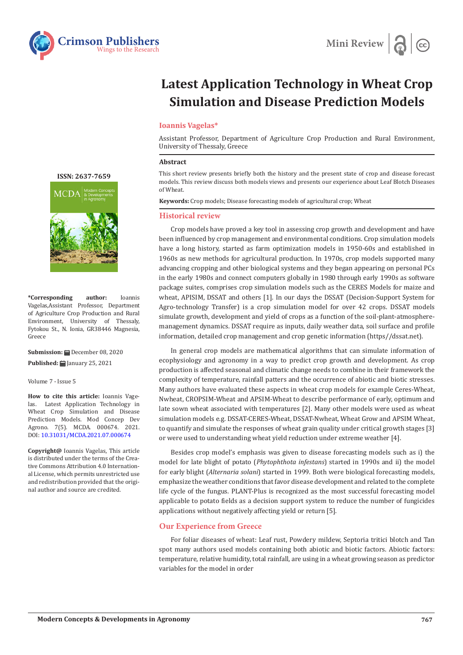



# **Latest Application Technology in Wheat Crop Simulation and Disease Prediction Models**

# **Ioannis Vagelas\***

Assistant Professor, Department of Agriculture Crop Production and Rural Environment, University of Thessaly, Greece

### **Abstract**

This short review presents briefly both the history and the present state of crop and disease forecast models. This review discuss both models views and presents our experience about Leaf Blotch Diseases of Wheat.

**Keywords:** Crop models; Disease forecasting models of agricultural crop; Wheat

## **Historical review**

Crop models have proved a key tool in assessing crop growth and development and have been influenced by crop management and environmental conditions. Crop simulation models have a long history, started as farm optimization models in 1950-60s and established in 1960s as new methods for agricultural production. In 1970s, crop models supported many advancing cropping and other biological systems and they began appearing on personal PCs in the early 1980s and connect computers globally in 1980 through early 1990s as software package suites, comprises crop simulation models such as the CERES Models for maize and wheat, APISIM, DSSAT and others [1]. In our days the DSSAT (Decision-Support System for Agro-technology Transfer) is a crop simulation model for over 42 crops. DSSAT models simulate growth, development and yield of crops as a function of the soil-plant-atmospheremanagement dynamics. DSSAT require as inputs, daily weather data, soil surface and profile information, detailed crop management and crop genetic information (https//dssat.net).

In general crop models are mathematical algorithms that can simulate information of ecophysiology and agronomy in a way to predict crop growth and development. As crop production is affected seasonal and climatic change needs to combine in their framework the complexity of temperature, rainfall patters and the occurrence of abiotic and biotic stresses. Many authors have evaluated these aspects in wheat crop models for example Ceres-Wheat, Nwheat, CROPSIM-Wheat and APSIM-Wheat to describe performance of early, optimum and late sown wheat associated with temperatures [2]. Many other models were used as wheat simulation models e.g. DSSAT-CERES-Wheat, DSSAT-Nwheat, Wheat Grow and APSIM Wheat, to quantify and simulate the responses of wheat grain quality under critical growth stages [3] or were used to understanding wheat yield reduction under extreme weather [4].

Besides crop model's emphasis was given to disease forecasting models such as i) the model for late blight of potato (*Phytophthota infestans*) started in 1990s and ii) the model for early blight (*Alternaria solani*) started in 1999. Both were biological forecasting models, emphasize the weather conditions that favor disease development and related to the complete life cycle of the fungus. PLANT-Plus is recognized as the most successful forecasting model applicable to potato fields as a decision support system to reduce the number of fungicides applications without negatively affecting yield or return [5].

# **Our Experience from Greece**

For foliar diseases of wheat: Leaf rust, Powdery mildew, Septoria tritici blotch and Tan spot many authors used models containing both abiotic and biotic factors. Abiotic factors: temperature, relative humidity, total rainfall, are using in a wheat growing season as predictor variables for the model in order

**[ISSN: 2637-7659](https://www.crimsonpublishers.com/mcda/)**

**\*Corresponding author:** Ioannis Vagelas,Assistant Professor, Department of Agriculture Crop Production and Rural Environment, University of Thessaly, Fytokou St., N. Ionia, GR38446 Magnesia, Greece

**Submission:** December 08, 2020 **Published:** January 25, 2021

Volume 7 - Issue 5

**How to cite this article:** Ioannis Vagelas. Latest Application Technology in Wheat Crop Simulation and Disease Prediction Models. Mod Concep Dev Agrono. 7(5). MCDA. 000674. 2021. DOI: [10.31031/MCDA.2021.07.00067](http://dx.doi.org/10.31031/MCDA.2021.07.000674)4

**Copyright@** Ioannis Vagelas, This article is distributed under the terms of the Creative Commons Attribution 4.0 International License, which permits unrestricted use and redistribution provided that the original author and source are credited.